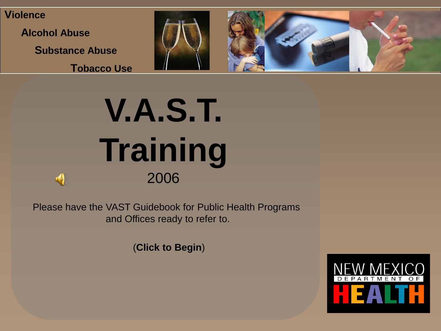**Violence**

**Alcohol Abuse**

**Substance Abuse**

**Tobacco Use**



# **V.A.S.T. Training** 2006

Please have the VAST Guidebook for Public Health Programs and Offices ready to refer to.

(**Click to Begin**)

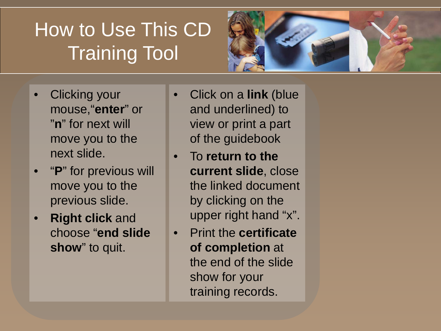## How to Use This CD Training Tool

- Clicking your mouse,"**enter**" or "**n**" for next will move you to the next slide.
- "**P**" for previous will move you to the previous slide.
- **Right click** and choose "**end slide show**" to quit.
- Click on a **link** (blue and underlined) to view or print a part of the guidebook
- To **return to the current slide**, close the linked document by clicking on the upper right hand "x".
- Print the **certificate of completion** at the end of the slide show for your training records.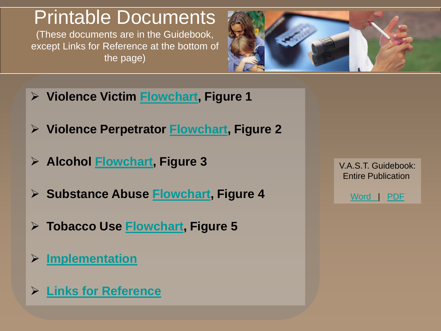### Printable Documents

(These documents are in the Guidebook, except Links for Reference at the bottom of the page)



- **Violence Victim Flowchart, Figure 1**
- **Violence Perpetrator Flowchart, Figure 2**
- **Alcohol Flowchart, Figure 3**
- **Substance Abuse Flowchart, Figure 4**
- **Tobacco Use Flowchart, Figure 5**
- **Implementation**
- **Links for Reference**

V.A.S.T. Guidebook: Entire Publication

Word | PDF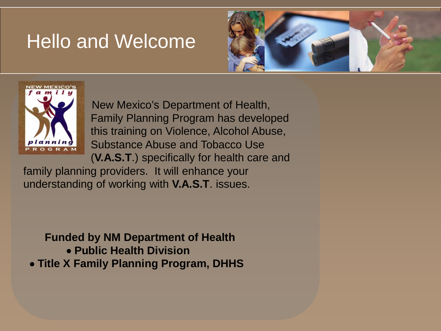### Hello and Welcome





New Mexico's Department of Health, Family Planning Program has developed this training on Violence, Alcohol Abuse, Substance Abuse and Tobacco Use (**V.A.S.T**.) specifically for health care and

family planning providers. It will enhance your understanding of working with **V.A.S.T**. issues.

**Funded by NM Department of Health**  • **Public Health Division**  • **Title X Family Planning Program, DHHS**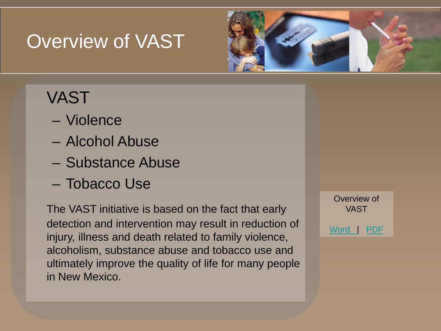## Overview of VAST



### VAST

- Violence
- Alcohol Abuse
- Substance Abuse
- Tobacco Use

The VAST initiative is based on the fact that early detection and intervention may result in reduction of injury, illness and death related to family violence, alcoholism, substance abuse and tobacco use and ultimately improve the quality of life for many people in New Mexico.

Overview of VAST Word | PDF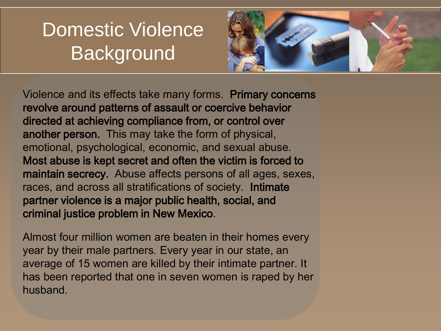## Domestic Violence **Background**



Violence and its effects take many forms. Primary concerns revolve around patterns of assault or coercive behavior directed at achieving compliance from, or control over another person. This may take the form of physical, emotional, psychological, economic, and sexual abuse. Most abuse is kept secret and often the victim is forced to maintain secrecy. Abuse affects persons of all ages, sexes, races, and across all stratifications of society. Intimate partner violence is a major public health, social, and criminal justice problem in New Mexico.

Almost four million women are beaten in their homes every year by their male partners. Every year in our state, an average of 15 women are killed by their intimate partner. It has been reported that one in seven women is raped by her husband.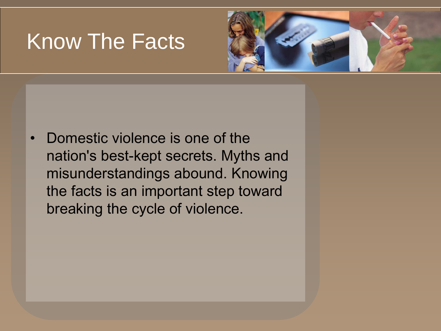## Know The Facts



• Domestic violence is one of the nation's best-kept secrets. Myths and misunderstandings abound. Knowing the facts is an important step toward breaking the cycle of violence.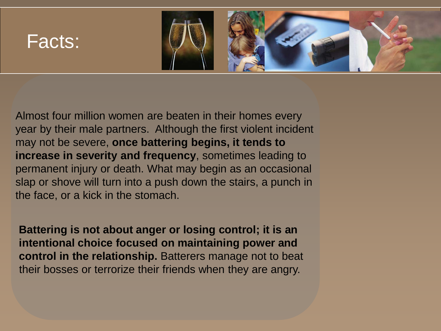

Almost four million women are beaten in their homes every year by their male partners. Although the first violent incident may not be severe, **once battering begins, it tends to increase in severity and frequency**, sometimes leading to permanent injury or death. What may begin as an occasional slap or shove will turn into a push down the stairs, a punch in the face, or a kick in the stomach.

**Battering is not about anger or losing control; it is an intentional choice focused on maintaining power and control in the relationship.** Batterers manage not to beat their bosses or terrorize their friends when they are angry.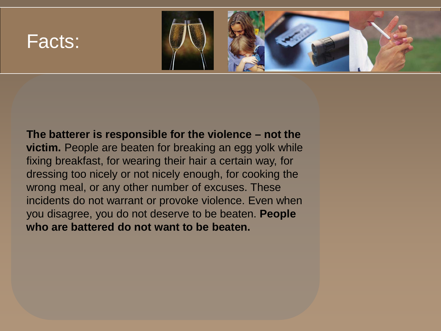

**The batterer is responsible for the violence – not the victim.** People are beaten for breaking an egg yolk while fixing breakfast, for wearing their hair a certain way, for dressing too nicely or not nicely enough, for cooking the wrong meal, or any other number of excuses. These incidents do not warrant or provoke violence. Even when you disagree, you do not deserve to be beaten. **People who are battered do not want to be beaten.**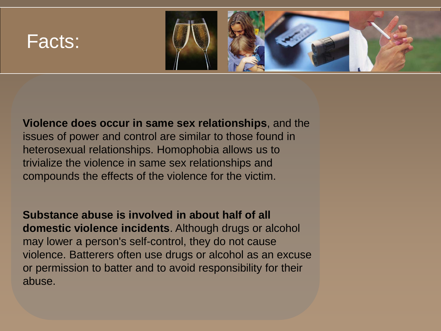

**Violence does occur in same sex relationships**, and the issues of power and control are similar to those found in heterosexual relationships. Homophobia allows us to trivialize the violence in same sex relationships and compounds the effects of the violence for the victim.

**Substance abuse is involved in about half of all domestic violence incidents**. Although drugs or alcohol may lower a person's self-control, they do not cause violence. Batterers often use drugs or alcohol as an excuse or permission to batter and to avoid responsibility for their abuse.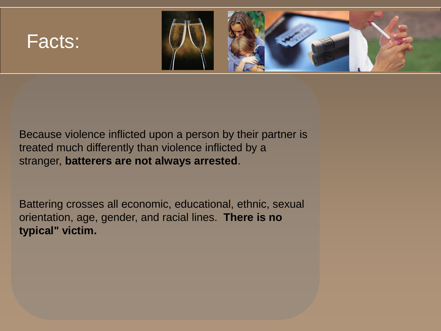

Because violence inflicted upon a person by their partner is treated much differently than violence inflicted by a stranger, **batterers are not always arrested**.

Battering crosses all economic, educational, ethnic, sexual orientation, age, gender, and racial lines. **There is no typical" victim.**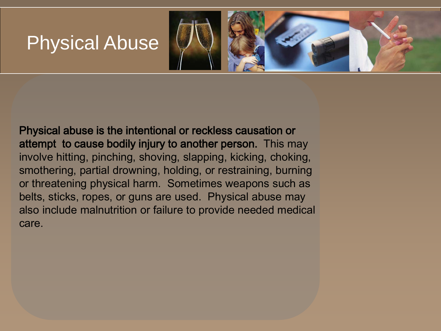### Physical Abuse



Physical abuse is the intentional or reckless causation or attempt to cause bodily injury to another person. This may involve hitting, pinching, shoving, slapping, kicking, choking, smothering, partial drowning, holding, or restraining, burning or threatening physical harm. Sometimes weapons such as belts, sticks, ropes, or guns are used. Physical abuse may also include malnutrition or failure to provide needed medical care.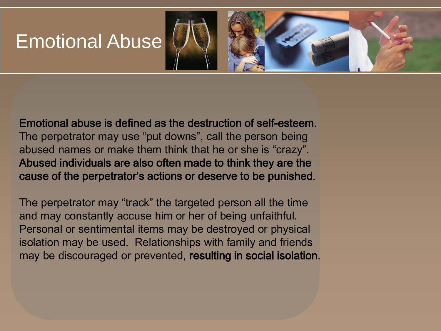### Emotional Abuse



Emotional abuse is defined as the destruction of self-esteem. The perpetrator may use "put downs", call the person being abused names or make them think that he or she is "crazy". Abused individuals are also often made to think they are the cause of the perpetrator's actions or deserve to be punished.

The perpetrator may "track" the targeted person all the time and may constantly accuse him or her of being unfaithful. Personal or sentimental items may be destroyed or physical isolation may be used. Relationships with family and friends may be discouraged or prevented, resulting in social isolation.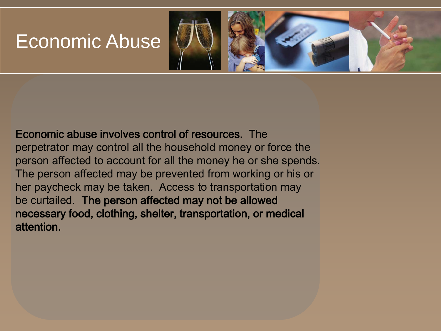### Economic Abuse



Economic abuse involves control of resources. The perpetrator may control all the household money or force the person affected to account for all the money he or she spends. The person affected may be prevented from working or his or her paycheck may be taken. Access to transportation may be curtailed. The person affected may not be allowed necessary food, clothing, shelter, transportation, or medical attention.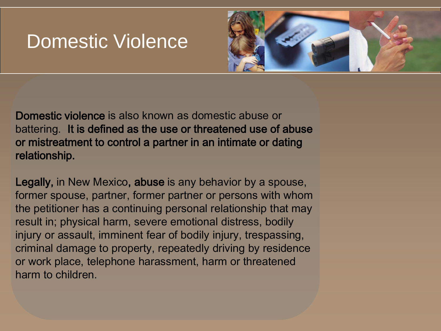#### Domestic Violence



Domestic violence is also known as domestic abuse or battering. It is defined as the use or threatened use of abuse or mistreatment to control a partner in an intimate or dating relationship.

Legally, in New Mexico, abuse is any behavior by a spouse, former spouse, partner, former partner or persons with whom the petitioner has a continuing personal relationship that may result in; physical harm, severe emotional distress, bodily injury or assault, imminent fear of bodily injury, trespassing, criminal damage to property, repeatedly driving by residence or work place, telephone harassment, harm or threatened harm to children.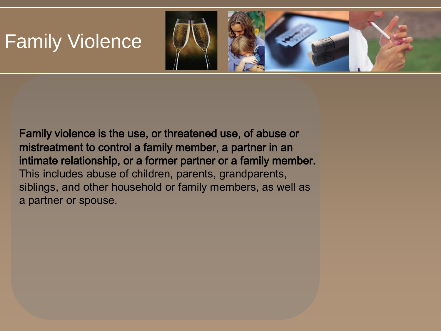## Family Violence



Family violence is the use, or threatened use, of abuse or mistreatment to control a family member, a partner in an intimate relationship, or a former partner or a family member. This includes abuse of children, parents, grandparents, siblings, and other household or family members, as well as a partner or spouse.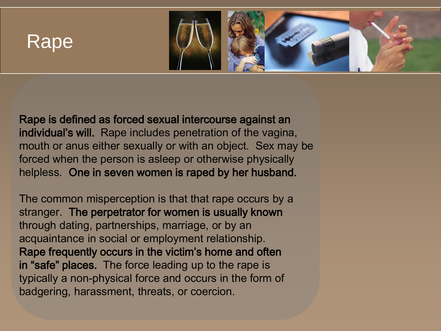#### Rape



Rape is defined as forced sexual intercourse against an individual's will. Rape includes penetration of the vagina, mouth or anus either sexually or with an object. Sex may be forced when the person is asleep or otherwise physically helpless. One in seven women is raped by her husband.

The common misperception is that that rape occurs by a stranger. The perpetrator for women is usually known through dating, partnerships, marriage, or by an acquaintance in social or employment relationship. Rape frequently occurs in the victim's home and often in "safe" places. The force leading up to the rape is typically a non-physical force and occurs in the form of badgering, harassment, threats, or coercion.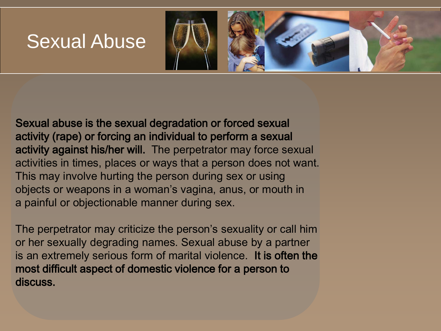#### Sexual Abuse



Sexual abuse is the sexual degradation or forced sexual activity (rape) or forcing an individual to perform a sexual activity against his/her will. The perpetrator may force sexual activities in times, places or ways that a person does not want. This may involve hurting the person during sex or using objects or weapons in a woman's vagina, anus, or mouth in a painful or objectionable manner during sex.

The perpetrator may criticize the person's sexuality or call him or her sexually degrading names. Sexual abuse by a partner is an extremely serious form of marital violence. It is often the most difficult aspect of domestic violence for a person to discuss.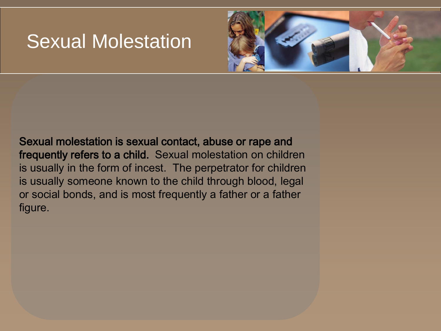### Sexual Molestation



Sexual molestation is sexual contact, abuse or rape and frequently refers to a child. Sexual molestation on children is usually in the form of incest. The perpetrator for children is usually someone known to the child through blood, legal or social bonds, and is most frequently a father or a father figure.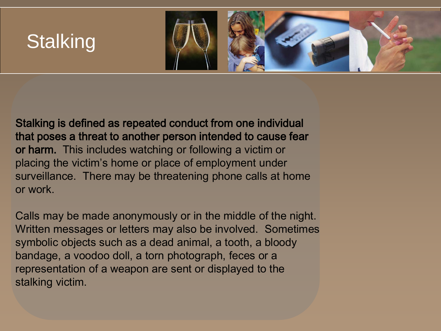## **Stalking**



Stalking is defined as repeated conduct from one individual that poses a threat to another person intended to cause fear or harm. This includes watching or following a victim or placing the victim's home or place of employment under surveillance. There may be threatening phone calls at home or work.

Calls may be made anonymously or in the middle of the night. Written messages or letters may also be involved. Sometimes symbolic objects such as a dead animal, a tooth, a bloody bandage, a voodoo doll, a torn photograph, feces or a representation of a weapon are sent or displayed to the stalking victim.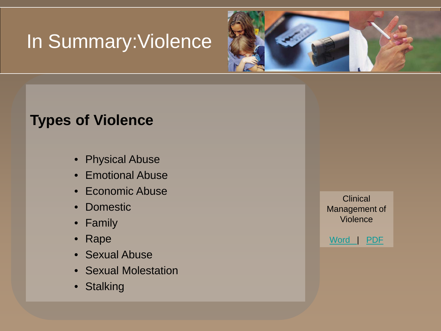## In Summary:Violence



#### **Types of Violence**

- Physical Abuse
- Emotional Abuse
- Economic Abuse
- Domestic
- Family
- Rape
- Sexual Abuse
- Sexual Molestation
- Stalking

**Clinical** Management of Violence

Word | PDF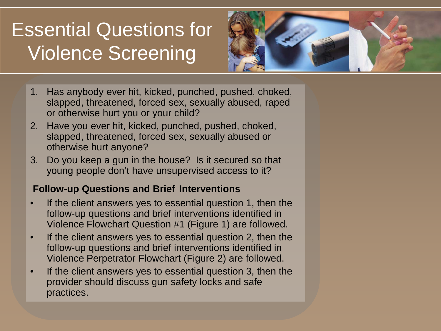## Essential Questions for Violence Screening



- 1. Has anybody ever hit, kicked, punched, pushed, choked, slapped, threatened, forced sex, sexually abused, raped or otherwise hurt you or your child?
- 2. Have you ever hit, kicked, punched, pushed, choked, slapped, threatened, forced sex, sexually abused or otherwise hurt anyone?
- 3. Do you keep a gun in the house? Is it secured so that young people don't have unsupervised access to it?

#### **Follow-up Questions and Brief Interventions**

- If the client answers yes to essential question 1, then the follow-up questions and brief interventions identified in Violence Flowchart Question #1 (Figure 1) are followed.
- If the client answers yes to essential question 2, then the follow-up questions and brief interventions identified in Violence Perpetrator Flowchart (Figure 2) are followed.
- If the client answers yes to essential question 3, then the provider should discuss gun safety locks and safe practices.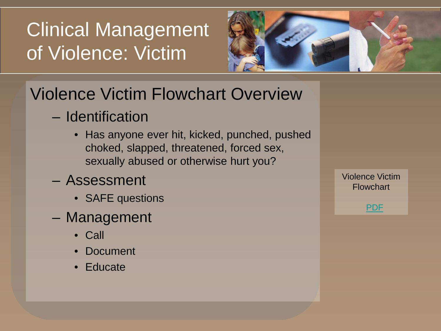## Clinical Management of Violence: Victim



### Violence Victim Flowchart Overview

- Identification
	- Has anyone ever hit, kicked, punched, pushed choked, slapped, threatened, forced sex, sexually abused or otherwise hurt you?
- Assessment
	- SAFE questions
- Management
	- Call
	- Document
	- Educate

Violence Victim Flowchart

PDF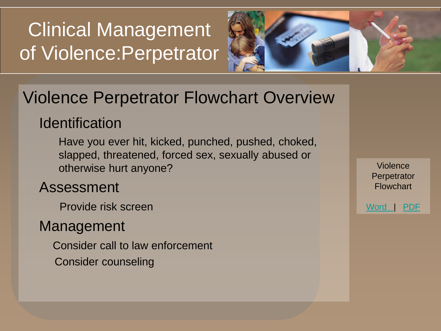## Clinical Management of Violence:Perpetrator



#### Violence Perpetrator Flowchart Overview

#### **Identification**

Have you ever hit, kicked, punched, pushed, choked, slapped, threatened, forced sex, sexually abused or otherwise hurt anyone?

#### Assessment

Provide risk screen

#### Management

Consider call to law enforcement

Consider counseling

Violence **Perpetrator** Flowchart

Word | PDF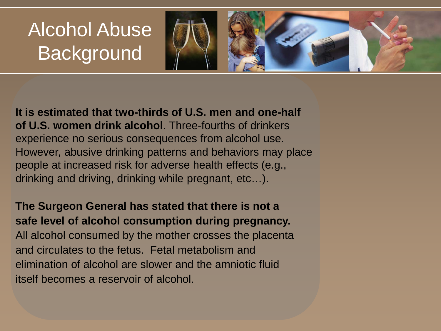## Alcohol Abuse **Background**



**It is estimated that two-thirds of U.S. men and one-half of U.S. women drink alcohol**. Three-fourths of drinkers experience no serious consequences from alcohol use. However, abusive drinking patterns and behaviors may place people at increased risk for adverse health effects (e.g., drinking and driving, drinking while pregnant, etc…).

**The Surgeon General has stated that there is not a safe level of alcohol consumption during pregnancy.** All alcohol consumed by the mother crosses the placenta and circulates to the fetus. Fetal metabolism and elimination of alcohol are slower and the amniotic fluid itself becomes a reservoir of alcohol.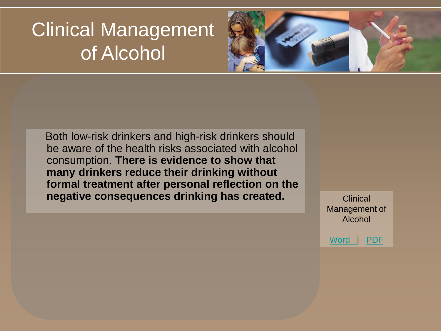## Clinical Management of Alcohol



Both low-risk drinkers and high-risk drinkers should be aware of the health risks associated with alcohol consumption. **There is evidence to show that many drinkers reduce their drinking without formal treatment after personal reflection on the negative consequences drinking has created.** Clinical

Management of Alcohol

Word | PDF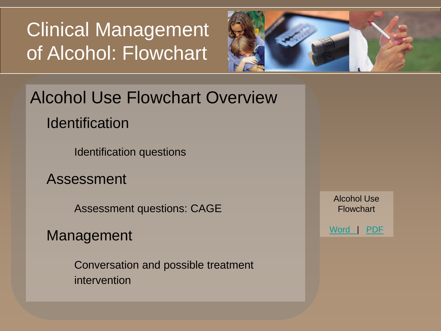## Clinical Management of Alcohol: Flowchart



# Alcohol Use Flowchart Overview

**Identification** 

Identification questions

Assessment

Assessment questions: CAGE

Management

Conversation and possible treatment intervention

Alcohol Use **Flowchart** 

Word | PDF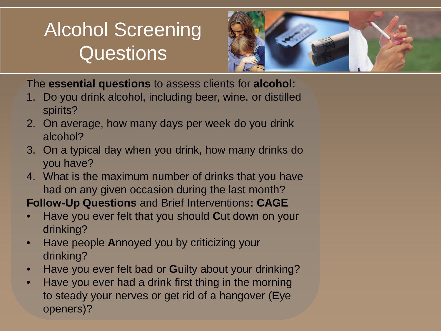## Alcohol Screening **Questions**



The **essential questions** to assess clients for **alcohol**:

- 1. Do you drink alcohol, including beer, wine, or distilled spirits?
- 2. On average, how many days per week do you drink alcohol?
- 3. On a typical day when you drink, how many drinks do you have?
- 4. What is the maximum number of drinks that you have had on any given occasion during the last month?

**Follow-Up Questions** and Brief Interventions**: CAGE**

- Have you ever felt that you should **C**ut down on your drinking?
- Have people **A**nnoyed you by criticizing your drinking?
- Have you ever felt bad or **G**uilty about your drinking?
- Have you ever had a drink first thing in the morning to steady your nerves or get rid of a hangover (**E**ye openers)?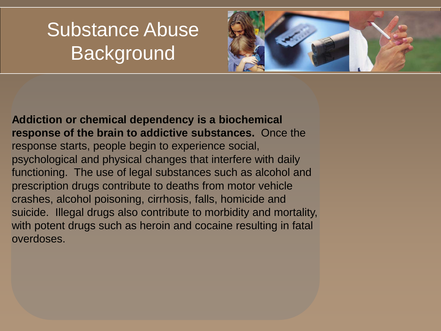## Substance Abuse **Background**



**Addiction or chemical dependency is a biochemical response of the brain to addictive substances.** Once the response starts, people begin to experience social, psychological and physical changes that interfere with daily functioning. The use of legal substances such as alcohol and prescription drugs contribute to deaths from motor vehicle crashes, alcohol poisoning, cirrhosis, falls, homicide and suicide. Illegal drugs also contribute to morbidity and mortality, with potent drugs such as heroin and cocaine resulting in fatal overdoses.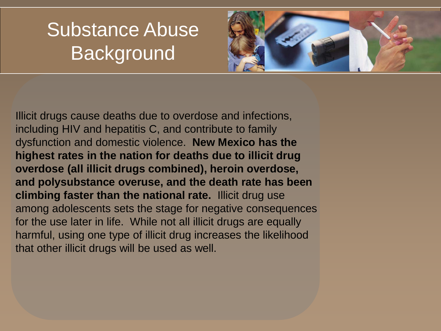## Substance Abuse **Background**



Illicit drugs cause deaths due to overdose and infections, including HIV and hepatitis C, and contribute to family dysfunction and domestic violence. **New Mexico has the highest rates in the nation for deaths due to illicit drug overdose (all illicit drugs combined), heroin overdose, and polysubstance overuse, and the death rate has been climbing faster than the national rate.** Illicit drug use among adolescents sets the stage for negative consequences for the use later in life. While not all illicit drugs are equally harmful, using one type of illicit drug increases the likelihood that other illicit drugs will be used as well.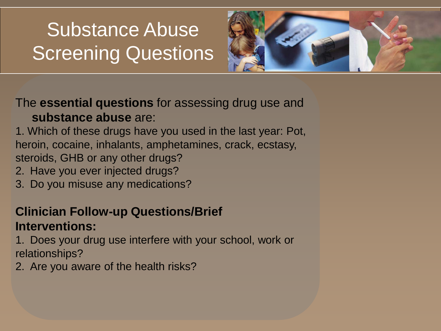## Substance Abuse Screening Questions



#### The **essential questions** for assessing drug use and **substance abuse** are:

1. Which of these drugs have you used in the last year: Pot, heroin, cocaine, inhalants, amphetamines, crack, ecstasy, steroids, GHB or any other drugs?

- 2. Have you ever injected drugs?
- 3. Do you misuse any medications?

#### **Clinician Follow-up Questions/Brief Interventions:**

1. Does your drug use interfere with your school, work or relationships?

2. Are you aware of the health risks?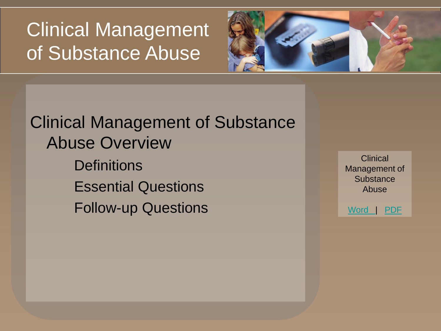Clinical Management of Substance Abuse



Clinical Management of Substance Abuse Overview **Definitions** Essential Questions Follow-up Questions

**Clinical** Management of **Substance** Abuse

Word | PDF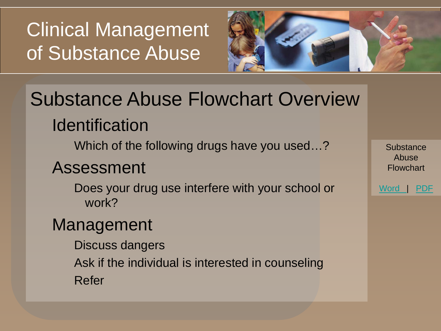Clinical Management of Substance Abuse



## Substance Abuse Flowchart Overview **Identification**

Which of the following drugs have you used…?

#### Assessment

Does your drug use interfere with your school or work?

#### Management

Discuss dangers Ask if the individual is interested in counseling Refer

**Substance** Abuse **Flowchart** 

Word | PDF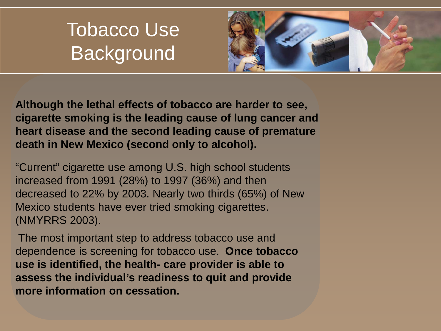## Tobacco Use **Background**



**Although the lethal effects of tobacco are harder to see, cigarette smoking is the leading cause of lung cancer and heart disease and the second leading cause of premature death in New Mexico (second only to alcohol).**

"Current" cigarette use among U.S. high school students increased from 1991 (28%) to 1997 (36%) and then decreased to 22% by 2003. Nearly two thirds (65%) of New Mexico students have ever tried smoking cigarettes. (NMYRRS 2003).

The most important step to address tobacco use and dependence is screening for tobacco use. **Once tobacco use is identified, the health- care provider is able to assess the individual's readiness to quit and provide more information on cessation.**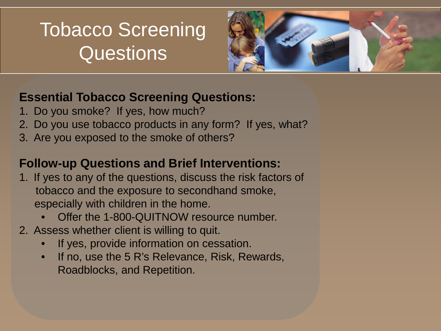## Tobacco Screening **Questions**



#### **Essential Tobacco Screening Questions:**

- 1. Do you smoke? If yes, how much?
- 2. Do you use tobacco products in any form? If yes, what?
- 3. Are you exposed to the smoke of others?

#### **Follow-up Questions and Brief Interventions:**

- 1. If yes to any of the questions, discuss the risk factors of tobacco and the exposure to secondhand smoke, especially with children in the home.
	- Offer the 1-800-QUITNOW resource number.
- 2. Assess whether client is willing to quit.
	- If yes, provide information on cessation.
	- If no, use the 5 R's Relevance, Risk, Rewards, Roadblocks, and Repetition.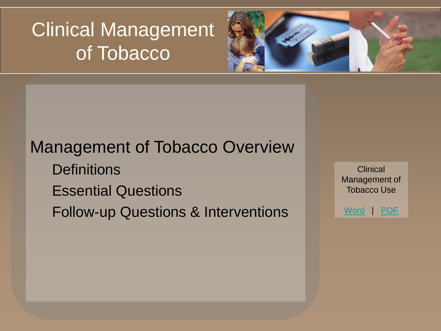## Clinical Management of Tobacco



#### Management of Tobacco Overview

- **Definitions**
- Essential Questions
- Follow-up Questions & Interventions

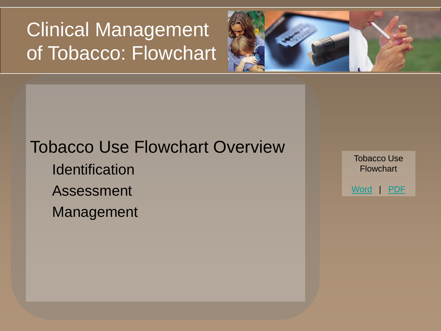## Clinical Management of Tobacco: Flowchart



#### Tobacco Use Flowchart Overview

- **Identification**
- Assessment
- Management

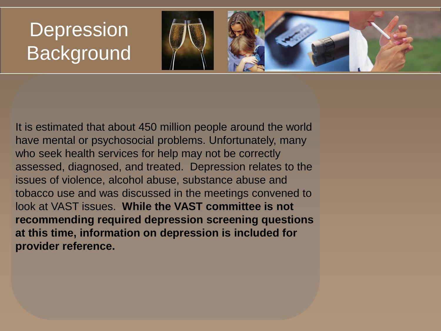## **Depression Background**



It is estimated that about 450 million people around the world have mental or psychosocial problems. Unfortunately, many who seek health services for help may not be correctly assessed, diagnosed, and treated. Depression relates to the issues of violence, alcohol abuse, substance abuse and tobacco use and was discussed in the meetings convened to look at VAST issues. **While the VAST committee is not recommending required depression screening questions at this time, information on depression is included for provider reference.**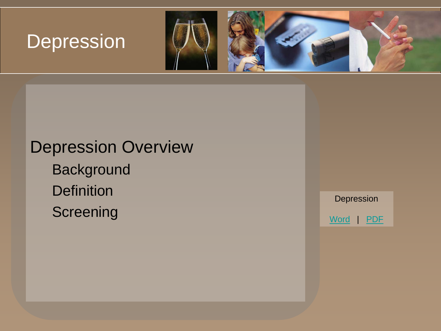## **Depression**



## Depression Overview

**Background Definition** 

**Screening** 

Depression Word | PDF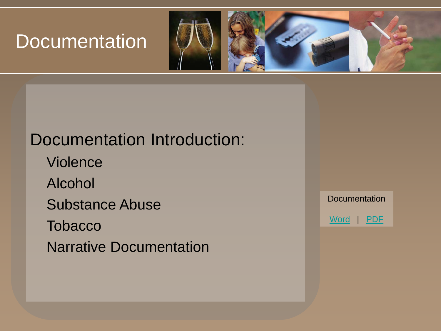### **Documentation**



#### Documentation Introduction:

Violence Alcohol Substance Abuse **Tobacco** Narrative Documentation

**Documentation** Word | PDF